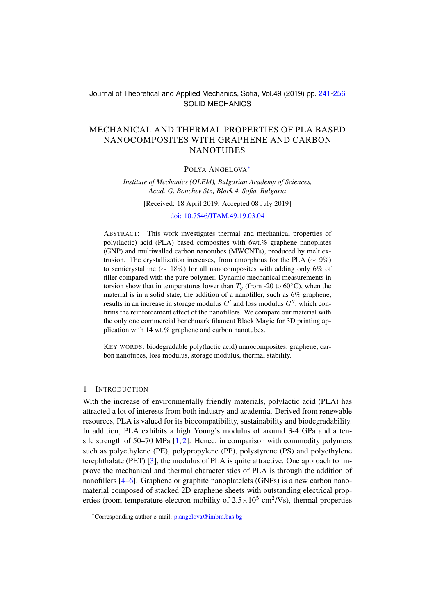Journal of Theoretical and Applied Mechanics, Sofia, Vol.49 (2019) pp. [241-](#page-0-0)[256](#page-15-0) SOLID MECHANICS

## <span id="page-0-0"></span>MECHANICAL AND THERMAL PROPERTIES OF PLA BASED NANOCOMPOSITES WITH GRAPHENE AND CARBON **NANOTUBES**

#### POLYA ANGELOVA[∗](#page-0-1)

*Institute of Mechanics (OLEM), Bulgarian Academy of Sciences, Acad. G. Bonchev Str., Block 4, Sofia, Bulgaria*

[Received: 18 April 2019. Accepted 08 July 2019]

#### [doi: 10.7546/JTAM.49.19.03.04](https://doi.org/10.7546/JTAM.49.19.03.04)

ABSTRACT: This work investigates thermal and mechanical properties of poly(lactic) acid (PLA) based composites with 6wt.% graphene nanoplates (GNP) and multiwalled carbon nanotubes (MWCNTs), produced by melt extrusion. The crystallization increases, from amorphous for the PLA ( $\sim 9\%$ ) to semicrystalline ( $\sim 18\%$ ) for all nanocomposites with adding only 6% of filler compared with the pure polymer. Dynamic mechanical measurements in torsion show that in temperatures lower than  $T<sub>q</sub>$  (from -20 to 60°C), when the material is in a solid state, the addition of a nanofiller, such as 6% graphene, results in an increase in storage modulus  $G'$  and loss modulus  $G''$ , which confirms the reinforcement effect of the nanofillers. We compare our material with the only one commercial benchmark filament Black Magic for 3D printing application with 14 wt.% graphene and carbon nanotubes.

KEY WORDS: biodegradable poly(lactic acid) nanocomposites, graphene, carbon nanotubes, loss modulus, storage modulus, thermal stability.

#### 1 INTRODUCTION

With the increase of environmentally friendly materials, polylactic acid (PLA) has attracted a lot of interests from both industry and academia. Derived from renewable resources, PLA is valued for its biocompatibility, sustainability and biodegradability. In addition, PLA exhibits a high Young's modulus of around 3-4 GPa and a tensile strength of  $50-70$  MPa  $[1, 2]$  $[1, 2]$  $[1, 2]$ . Hence, in comparison with commodity polymers such as polyethylene (PE), polypropylene (PP), polystyrene (PS) and polyethylene terephthalate (PET) [\[3\]](#page-14-2), the modulus of PLA is quite attractive. One approach to improve the mechanical and thermal characteristics of PLA is through the addition of nanofillers [\[4](#page-14-3)[–6\]](#page-14-4). Graphene or graphite nanoplatelets (GNPs) is a new carbon nanomaterial composed of stacked 2D graphene sheets with outstanding electrical properties (room-temperature electron mobility of  $2.5 \times 10^5$  cm<sup>2</sup>/Vs), thermal properties

<span id="page-0-1"></span><sup>∗</sup>Corresponding author e-mail: [p.angelova@imbm.bas.bg](mailto:p.angelova@imbm.bas.bg)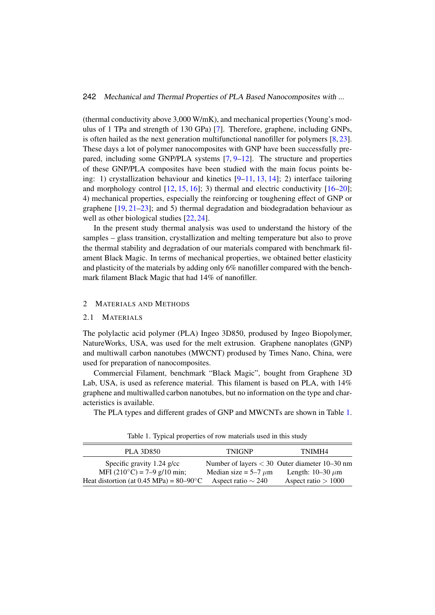(thermal conductivity above 3,000 W/mK), and mechanical properties (Young's modulus of 1 TPa and strength of 130 GPa) [\[7\]](#page-14-5). Therefore, graphene, including GNPs, is often hailed as the next generation multifunctional nanofiller for polymers [\[8,](#page-14-6) [23\]](#page-15-1). These days a lot of polymer nanocomposites with GNP have been successfully prepared, including some GNP/PLA systems [\[7,](#page-14-5) [9](#page-14-7)[–12\]](#page-14-8). The structure and properties of these GNP/PLA composites have been studied with the main focus points being: 1) crystallization behaviour and kinetics [\[9](#page-14-7)[–11,](#page-14-9) [13,](#page-14-10) [14\]](#page-14-11); 2) interface tailoring and morphology control  $[12, 15, 16]$  $[12, 15, 16]$  $[12, 15, 16]$  $[12, 15, 16]$  $[12, 15, 16]$ ; 3) thermal and electric conductivity  $[16–20]$  $[16–20]$ ; 4) mechanical properties, especially the reinforcing or toughening effect of GNP or graphene  $[19, 21-23]$  $[19, 21-23]$  $[19, 21-23]$ ; and 5) thermal degradation and biodegradation behaviour as well as other biological studies [\[22,](#page-15-7) [24\]](#page-15-8).

In the present study thermal analysis was used to understand the history of the samples – glass transition, crystallization and melting temperature but also to prove the thermal stability and degradation of our materials compared with benchmark filament Black Magic. In terms of mechanical properties, we obtained better elasticity and plasticity of the materials by adding only 6% nanofiller compared with the benchmark filament Black Magic that had 14% of nanofiller.

## 2 **MATERIALS AND METHODS**

#### 2.1 MATERIALS

The polylactic acid polymer (PLA) Ingeo 3D850, prodused by Ingeo Biopolymer, NatureWorks, USA, was used for the melt extrusion. Graphene nanoplates (GNP) and multiwall carbon nanotubes (MWCNT) prodused by Times Nano, China, were used for preparation of nanocomposites.

Commercial Filament, benchmark "Black Magic", bought from Graphene 3D Lab, USA, is used as reference material. This filament is based on PLA, with 14% graphene and multiwalled carbon nanotubes, but no information on the type and characteristics is available.

The PLA types and different grades of GNP and MWCNTs are shown in Table [1.](#page-1-0)

| <b>PLA 3D850</b>                                  | <b>TNIGNP</b>             | TNIMH4                                          |
|---------------------------------------------------|---------------------------|-------------------------------------------------|
| Specific gravity $1.24$ g/cc                      |                           | Number of layers $<$ 30 Outer diameter 10–30 nm |
| MFI $(210^{\circ}C) = 7-9$ g/10 min;              | Median size = $5-7 \mu m$ | Length: $10-30 \mu m$                           |
| Heat distortion (at 0.45 MPa) = $80-90^{\circ}$ C | Aspect ratio $\sim$ 240   | Aspect ratio $> 1000$                           |

<span id="page-1-0"></span>Table 1. Typical properties of row materials used in this study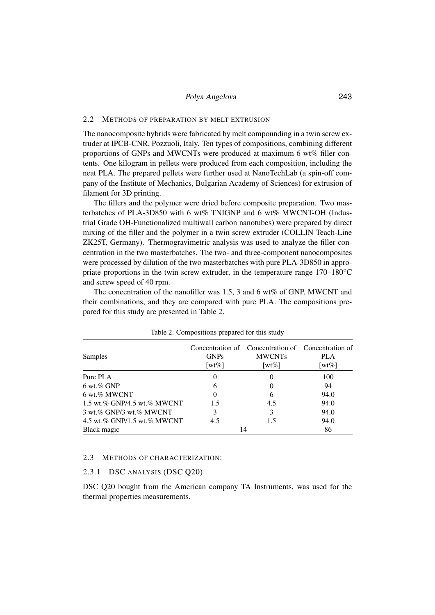#### 2.2 METHODS OF PREPARATION BY MELT EXTRUSION

The nanocomposite hybrids were fabricated by melt compounding in a twin screw extruder at IPCB-CNR, Pozzuoli, Italy. Ten types of compositions, combining different proportions of GNPs and MWCNTs were produced at maximum 6 wt% filler contents. One kilogram in pellets were produced from each composition, including the neat PLA. The prepared pellets were further used at NanoTechLab (a spin-off company of the Institute of Mechanics, Bulgarian Academy of Sciences) for extrusion of filament for 3D printing.

The fillers and the polymer were dried before composite preparation. Two masterbatches of PLA-3D850 with 6 wt% TNIGNP and 6 wt% MWCNT-OH (Industrial Grade OH-Functionalized multiwall carbon nanotubes) were prepared by direct mixing of the filler and the polymer in a twin screw extruder (COLLIN Teach-Line ZK25T, Germany). Thermogravimetric analysis was used to analyze the filler concentration in the two masterbatches. The two- and three-component nanocomposites were processed by dilution of the two masterbatches with pure PLA-3D850 in appropriate proportions in the twin screw extruder, in the temperature range  $170-180°C$ and screw speed of 40 rpm.

The concentration of the nanofiller was 1.5, 3 and 6 wt% of GNP, MWCNT and their combinations, and they are compared with pure PLA. The compositions prepared for this study are presented in Table [2.](#page-2-0)

| Samples                     | <b>GNPs</b><br>[wt%] | Concentration of Concentration of Concentration of<br><b>MWCNTs</b><br>[wt $%$ ] | <b>PLA</b><br>[wt $\%$ ] |
|-----------------------------|----------------------|----------------------------------------------------------------------------------|--------------------------|
| Pure PLA                    |                      | $\theta$                                                                         | 100                      |
| $6 \text{ wt.} \%$ GNP      | 6                    | $\Omega$                                                                         | 94                       |
| 6 wt.% MWCNT                |                      | 6                                                                                | 94.0                     |
| 1.5 wt.% GNP/4.5 wt.% MWCNT | 1.5                  | 4.5                                                                              | 94.0                     |
| 3 wt.% GNP/3 wt.% MWCNT     | 3                    | 3                                                                                | 94.0                     |
| 4.5 wt.% GNP/1.5 wt.% MWCNT | 4.5                  | 1.5                                                                              | 94.0                     |
| Black magic                 |                      | 14                                                                               | 86                       |

<span id="page-2-0"></span>Table 2. Compositions prepared for this study

#### 2.3 METHODS OF CHARACTERIZATION:

#### 2.3.1 DSC ANALYSIS (DSC Q20)

DSC Q20 bought from the American company TA Instruments, was used for the thermal properties measurements.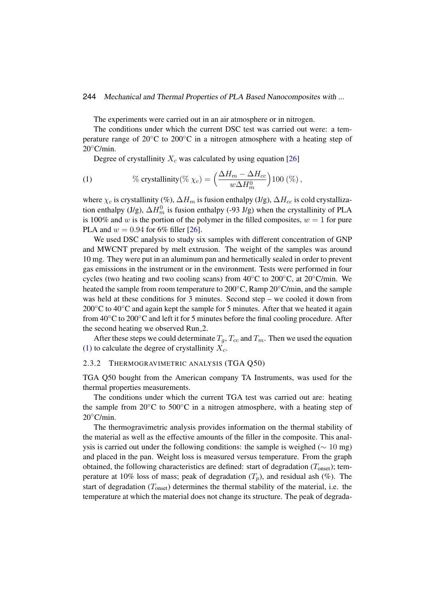The experiments were carried out in an air atmosphere or in nitrogen.

The conditions under which the current DSC test was carried out were: a temperature range of 20◦C to 200◦C in a nitrogen atmosphere with a heating step of  $20^{\circ}$ C/min.

<span id="page-3-0"></span>Degree of crystallinity  $X_c$  was calculated by using equation [\[26\]](#page-15-9)

(1) 
$$
\% \text{ crystallinity}(\% \ \chi_c) = \left(\frac{\Delta H_m - \Delta H_{cc}}{w \Delta H_m^0}\right) 100 \ (\%) \ ,
$$

where  $\chi_c$  is crystallinity (%),  $\Delta H_m$  is fusion enthalpy (J/g),  $\Delta H_{cc}$  is cold crystallization enthalpy (J/g),  $\Delta H_m^0$  is fusion enthalpy (-93 J/g) when the crystallinity of PLA is 100% and w is the portion of the polymer in the filled composites,  $w = 1$  for pure PLA and  $w = 0.94$  for 6% filler [\[26\]](#page-15-9).

We used DSC analysis to study six samples with different concentration of GNP and MWCNT prepared by melt extrusion. The weight of the samples was around 10 mg. They were put in an aluminum pan and hermetically sealed in order to prevent gas emissions in the instrument or in the environment. Tests were performed in four cycles (two heating and two cooling scans) from  $40^{\circ}$ C to  $200^{\circ}$ C, at  $20^{\circ}$ C/min. We heated the sample from room temperature to 200◦C, Ramp 20◦C/min, and the sample was held at these conditions for 3 minutes. Second step – we cooled it down from 200 $\degree$ C to 40 $\degree$ C and again kept the sample for 5 minutes. After that we heated it again from 40◦C to 200◦C and left it for 5 minutes before the final cooling procedure. After the second heating we observed Run 2.

After these steps we could determinate  $T_g$ ,  $T_{cc}$  and  $T_m$ . Then we used the equation [\(1\)](#page-3-0) to calculate the degree of crystallinity  $X_c$ .

## 2.3.2 THERMOGRAVIMETRIC ANALYSIS (TGA Q50)

TGA Q50 bought from the American company TA Instruments, was used for the thermal properties measurements.

The conditions under which the current TGA test was carried out are: heating the sample from 20 $\rm ^{\circ}C$  to 500 $\rm ^{\circ}C$  in a nitrogen atmosphere, with a heating step of 20◦C/min.

The thermogravimetric analysis provides information on the thermal stability of the material as well as the effective amounts of the filler in the composite. This analysis is carried out under the following conditions: the sample is weighed ( $\sim 10$  mg) and placed in the pan. Weight loss is measured versus temperature. From the graph obtained, the following characteristics are defined: start of degradation  $(T_{onset})$ ; temperature at 10% loss of mass; peak of degradation  $(T_n)$ , and residual ash (%). The start of degradation  $(T_{onset})$  determines the thermal stability of the material, i.e. the temperature at which the material does not change its structure. The peak of degrada-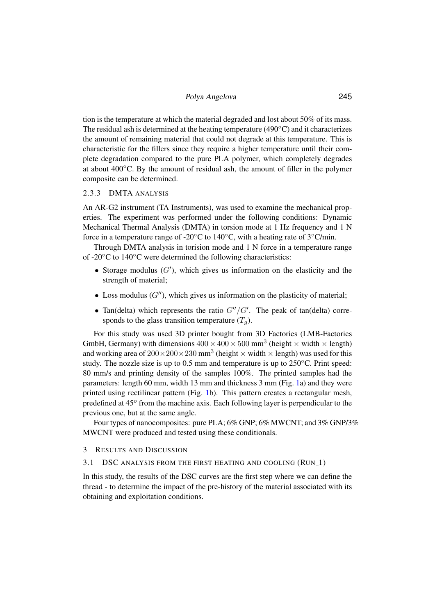tion is the temperature at which the material degraded and lost about 50% of its mass. The residual ash is determined at the heating temperature (490◦C) and it characterizes the amount of remaining material that could not degrade at this temperature. This is characteristic for the fillers since they require a higher temperature until their complete degradation compared to the pure PLA polymer, which completely degrades at about 400◦C. By the amount of residual ash, the amount of filler in the polymer composite can be determined.

## 2.3.3 DMTA ANALYSIS

An AR-G2 instrument (TA Instruments), was used to examine the mechanical properties. The experiment was performed under the following conditions: Dynamic Mechanical Thermal Analysis (DMTA) in torsion mode at 1 Hz frequency and 1 N force in a temperature range of -20 $^{\circ}$ C to 140 $^{\circ}$ C, with a heating rate of 3 $^{\circ}$ C/min.

Through DMTA analysis in torision mode and 1 N force in a temperature range of -20◦C to 140◦C were determined the following characteristics:

- Storage modulus  $(G')$ , which gives us information on the elasticity and the strength of material;
- Loss modulus  $(G'')$ , which gives us information on the plasticity of material;
- Tan(delta) which represents the ratio  $G''/G'$ . The peak of tan(delta) corresponds to the glass transition temperature  $(T_a)$ .

For this study was used 3D printer bought from 3D Factories (LMB-Factories GmbH, Germany) with dimensions  $400 \times 400 \times 500$  mm<sup>3</sup> (height  $\times$  width  $\times$  length) and working area of  $200 \times 200 \times 230$  mm<sup>3</sup> (height  $\times$  width  $\times$  length) was used for this study. The nozzle size is up to 0.5 mm and temperature is up to 250°C. Print speed: 80 mm/s and printing density of the samples 100%. The printed samples had the parameters: length 60 mm, width 13 mm and thickness 3 mm (Fig. [1a](#page-5-0)) and they were printed using rectilinear pattern (Fig. [1b](#page-5-0)). This pattern creates a rectangular mesh, predefined at 45° from the machine axis. Each following layer is perpendicular to the previous one, but at the same angle.

Four types of nanocomposites: pure PLA; 6% GNP; 6% MWCNT; and 3% GNP/3% MWCNT were produced and tested using these conditionals.

#### 3 RESULTS AND DISCUSSION

## 3.1 DSC ANALYSIS FROM THE FIRST HEATING AND COOLING (RUN\_1)

In this study, the results of the DSC curves are the first step where we can define the thread - to determine the impact of the pre-history of the material associated with its obtaining and exploitation conditions.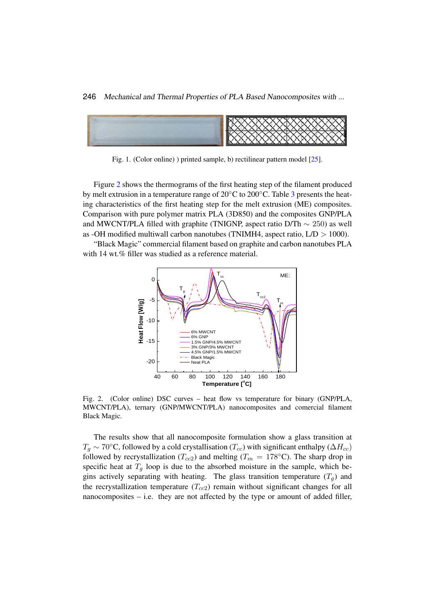246 Mechanical and Thermal Properties of PLA Based Nanocomposites with ...  $\begin{bmatrix} \text{F1} & \text{F2} & \text{F1} & \text{F1} & \text{F1} & \text{F1} & \text{F1} & \text{F1} & \text{F1} & \text{F1} & \text{F1} & \text{F1} & \text{F1} & \text{F1} & \text{F1} & \text{F1} & \text{F1} & \text{F1} & \text{F1} & \text{F1} & \text{F1} & \text{F1} & \text{F1} & \text{F1} & \text{F1} & \text{F1} & \text{F1} & \text{F1} & \text{F1} & \text{F1} & \text{F$ Z40 Mechanical and Thermal Properties of PLA Based Nanocompos.



<span id="page-5-0"></span>Fig. 1. (Color online)) printed sample, b) rectilinear pattern model [\[25\]](#page-15-10).

Figure [2](#page-5-1) shows the thermograms of the first heating step of the filament produced by melt extrusion in a temperature range of  $20°C$  to  $200°C$ . Table [3](#page-6-0) presents the heat-Comparison with pure polymer matrix PLA (3D850) and the composites GNP/PLA and MWCNT/PLA filled with graphite (TNIGNP, aspect ratio D/Th  $\sim 250$ ) as well as -OH modified multiwall carbon nanotubes (TNIMH4, aspect ratio,  $L/D > 1000$ ). ing characteristics of the first heating step for the melt extrusion (ME) composites.

"Black Magic" commercial filament based on graphite and carbon nanotubes PLA with 14 wt.% filler was studied as a reference material.



<span id="page-5-1"></span>Fig. 2. (Color online) DSC curves – heat flow vs temperature for binary (GNP/PLA,  $\overline{\text{MUCNTDL}}$  A) the set (GNP/PLA) discussed to the set of the set of the set of the set of the set of the set of the set of the set of th MWCNT/PLA), ternary (GNP/MWCNT/PLA) nanocomposites and comercial filament<br>Plash Masis Black Magic.

The results show that all nanocomposite formulation show a glass transition at The results show that all nanocomposite formulation show a glass transition at  $T_g \sim 70°$ C, followed by a cold crystallisation ( $T_{cc}$ ) with significant enthalpy ( $\Delta H_{cc}$ ) followed by recrystallization ( $T_{cc2}$ ) and melting ( $T_m = 178\textdegree$ C). The sharp drop in specific heat at  $T_g$  loop is due to the absorbed moisture in the sample, which begins actively separating with heating. The glass transition temperature  $(T_g)$  and the recrystallization temperature  $(T_{cc2})$  remain without significant changes for all nanocomposites – i.e. they are not affected by the type or amount of added filler, nanocomposites – i.e. they are not affected by the type or amount of added filler,nor whether the system is binary or temperature is binary or temperature. The cold crystallization temperature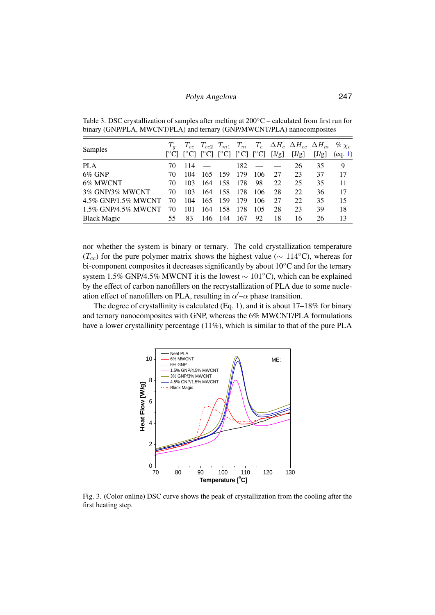| <b>Samples</b>      |    |      |         |         |     |         |    | $T_{cc}$ $T_{cc2}$ $T_{m1}$ $T_m$ $T_c$ $\Delta H_c$ $\Delta H_{cc}$ $\Delta H_m$ % $\chi_c$<br>$[°C]$ $[°C]$ $[°C]$ $[°C]$ $[°C]$ $[°C]$ $[J/g]$ $[J/g]$ | [J/g] | (eq. 1) |
|---------------------|----|------|---------|---------|-----|---------|----|-----------------------------------------------------------------------------------------------------------------------------------------------------------|-------|---------|
| PLA.                | 70 | 114  |         |         |     | $182 -$ |    | 26                                                                                                                                                        | 35    | 9       |
| $6\%$ GNP           | 70 | 104  | 165 159 |         | 179 | 106     | 27 | 23                                                                                                                                                        | 37    | 17      |
| 6% MWCNT            | 70 | 103  | 164     | -158    | 178 | 98      | 22 | 25                                                                                                                                                        | 35    | 11      |
| 3% GNP/3% MWCNT     | 70 | 103. |         | 164 158 | 178 | 106     | 28 | 22                                                                                                                                                        | 36    | 17      |
| 4.5% GNP/1.5% MWCNT | 70 | 104  | 165 159 |         | 179 | 106     | 27 | 22                                                                                                                                                        | 35    | 15      |
| 1.5% GNP/4.5% MWCNT | 70 | 101  | 164     | 158     | 178 | 105     | 28 | 23                                                                                                                                                        | 39    | 18      |
| <b>Black Magic</b>  | 55 | 83   |         | 146 144 | 167 | 92      | 18 | 16                                                                                                                                                        | 26    | 13      |

<span id="page-6-0"></span>Table 3. DSC crystallization of samples after melting at  $200\degree C$  – calculated from first run for binary (GNP/PLA, MWCNT/PLA) and ternary (GNP/MWCNT/PLA) nanocomposites

nor whether the system is binary or ternary. The cold crystallization temperature  $(T_{cc})$  for the pure polymer matrix shows the highest value ( $\sim 114$ °C), whereas for bi-component composites it decreases significantly by about 10°C and for the ternary system 1.5% GNP/4.5% MWCNT it is the lowest ~ 101°C), which can be explained by the effect of carbon nanofillers on the recrystallization of PLA due to some nucleation effect of nanofillers on PLA, resulting in  $\alpha'$  – $\alpha$  phase transition.

The degree of crystallinity is calculated  $(Eq. 1)$  $(Eq. 1)$ , and it is about 17–18% for binary and ternary nanocomposites with GNP, whereas the  $6\%$  MWCNT/PLA formulations and ternary nanocomposites with Give, whereas the  $\sigma$  *m m* Civer *ITEA* formulations have a lower crystallinity percentage (11%), which is similar to that of the pure PLA have a lowe



<span id="page-6-1"></span>Fig. 3. (Color online) DSC curve shows the peak of crystallization from the cooling after the heating step. first heating step.Fig. 3. (Color online) DSC curve shows the peak of crystallization from the cooling after the first heating step.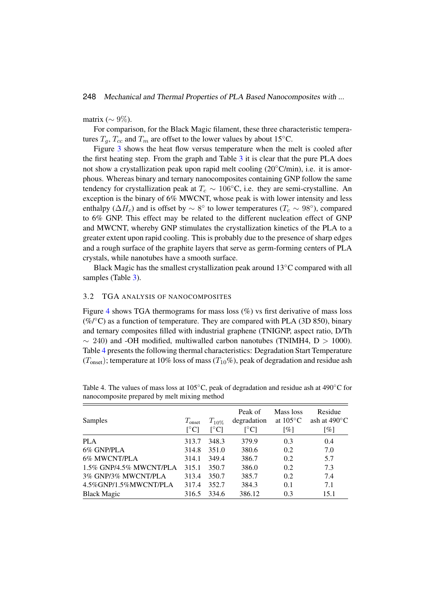## matrix ( $\sim 9\%$ ).

For comparison, for the Black Magic filament, these three characteristic temperatures  $T_g$ ,  $T_{cc}$  and  $T_m$  are offset to the lower values by about 15°C.

Figure [3](#page-6-1) shows the heat flow versus temperature when the melt is cooled after the first heating step. From the graph and Table [3](#page-6-0) it is clear that the pure PLA does not show a crystallization peak upon rapid melt cooling (20◦C/min), i.e. it is amorphous. Whereas binary and ternary nanocomposites containing GNP follow the same tendency for crystallization peak at  $T_c \sim 106°C$ , i.e. they are semi-crystalline. An exception is the binary of 6% MWCNT, whose peak is with lower intensity and less enthalpy ( $\Delta H_c$ ) and is offset by  $\sim 8^{\circ}$  to lower temperatures ( $T_c \sim 98^{\circ}$ ), compared to 6% GNP. This effect may be related to the different nucleation effect of GNP and MWCNT, whereby GNP stimulates the crystallization kinetics of the PLA to a greater extent upon rapid cooling. This is probably due to the presence of sharp edges and a rough surface of the graphite layers that serve as germ-forming centers of PLA crystals, while nanotubes have a smooth surface.

Black Magic has the smallest crystallization peak around  $13°C$  compared with all samples (Table [3\)](#page-6-0).

#### 3.2 TGA ANALYSIS OF NANOCOMPOSITES

Figure [4](#page-8-0) shows TGA thermograms for mass loss (%) vs first derivative of mass loss  $(\%$  / $\degree$ C) as a function of temperature. They are compared with PLA (3D 850), binary and ternary composites filled with industrial graphene (TNIGNP, aspect ratio, D/Th  $\sim$  240) and -OH modified, multiwalled carbon nanotubes (TNIMH4, D > 1000). Table [4](#page-7-0) presents the following thermal characteristics: Degradation Start Temperature  $(T_{\text{onset}})$ ; temperature at 10% loss of mass  $(T_{10}\%)$ , peak of degradation and residue ash

|                         |                           |                          | Peak of                        | Mass loss          | Residue                |
|-------------------------|---------------------------|--------------------------|--------------------------------|--------------------|------------------------|
| Samples                 | $T_{\text{onset}}$        | $T_{10\%}$               | degradation                    | at $105^{\circ}$ C | ash at $490^{\circ}$ C |
|                         | $\lceil{^{\circ}C}\rceil$ | $\lceil$ <sup>o</sup> Cl | $\lceil{^\circ}\text{C}\rceil$ | $\lceil \% \rceil$ | [%]                    |
| <b>PLA</b>              | 313.7                     | 348.3                    | 379.9                          | 0.3                | 0.4                    |
| 6% GNP/PLA              | 314.8                     | 351.0                    | 380.6                          | 0.2                | 7.0                    |
| 6% MWCNT/PLA            | 314.1                     | 349.4                    | 386.7                          | 0.2                | 5.7                    |
| 1.5% GNP/4.5% MWCNT/PLA | 315.1                     | 350.7                    | 386.0                          | 0.2                | 7.3                    |
| 3% GNP/3% MWCNT/PLA     | 313.4                     | 350.7                    | 385.7                          | 0.2                | 7.4                    |
| 4.5%GNP/1.5%MWCNT/PLA   | 317.4                     | 352.7                    | 384.3                          | 0.1                | 7.1                    |
| <b>Black Magic</b>      | 316.5                     | 334.6                    | 386.12                         | 0.3                | 15.1                   |

<span id="page-7-0"></span>Table 4. The values of mass loss at 105◦C, peak of degradation and residue ash at 490◦C for nanocomposite prepared by melt mixing method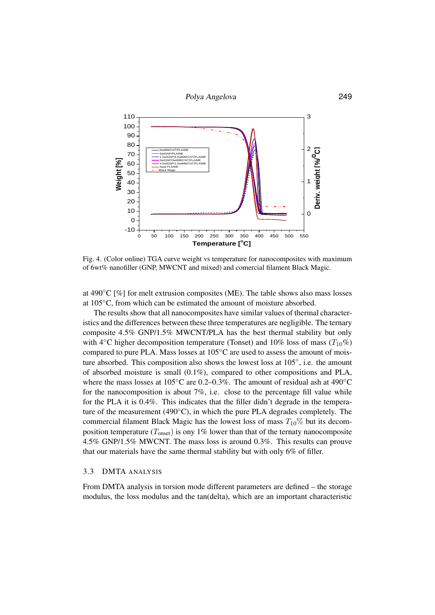

<span id="page-8-0"></span>Fig. 4. Cooler shink) I CIT can be weight to compound for nanocomposites with maximum.<br>of 6wt% nanofiller (GNP, MWCNT and mixed) and comercial filament Black Magic. Fig. 4. (Color online) TGA curve weight vs temperature for nanocomposites with maximum

at 4.4 The values of the values of composites ( $W<sub>1</sub>$ ). The table shows also mass losses at 105 $\degree$ C, from which can be estimated the amount of moisture absorbed. at 490 $\degree$ C [%] for melt extrusion composites (ME). The table shows also mass losses

The results show that all nanocomposites have similar values of thermal characteristics and the differences between these three temperatures are negligible. The ternary composite 4.5% GNP/1.5% MWCNT/PLA has the best thermal stability but only with 4<sup>°</sup>C higher decomposition temperature (Tonset) and 10% loss of mass ( $T_{10}\%$ )  $\mathsf{y}$ compared to pure PLA. Mass losses at  $105°C$  are used to assess the amount of moisture absorbed. This composition also shows the lowest loss at  $105°$ , i.e. the amount<br>of showled maintum is small  $(0.1\%)$  composed to other compositions and NLA where the mass losses at  $105°C$  are 0.2–0.3%. The amount of residual ash at  $490°C$ for the nanocomposition is about  $7\%$ , i.e. close to the percentage fill value while for the PLA it is 0.4%. This indicates that the filler didn't degrade in the temperature of the measurement (490 $°C$ ), in which the pure PLA degrades completely. The commercial filament Black Magic has the lowest loss of mass  $T_{10}\%$  but its decomposition temperature  $(T_{\text{onset}})$  is ony 1% lower than that of the ternaty nanocomposite 4.5% GNP/1.5% MWCNT. The mass loss is around 0.3%. This results can prouve<br>that our materials have the same thermal stability but with only 6% of filler that our materials have the same thermal stability but with only 6% of filler. of absorbed moisture is small  $(0.1\%)$ , compared to other compositions and PLA,

## 3.3 DMTA ANALYSIS

From DMTA analysis in torsion mode unteresting parameters are defined – the storage<br>modulus, the loss modulus and the tan(delta), which are an important characteristic From DMTA analysis in torsion mode different parameters are defined – the storage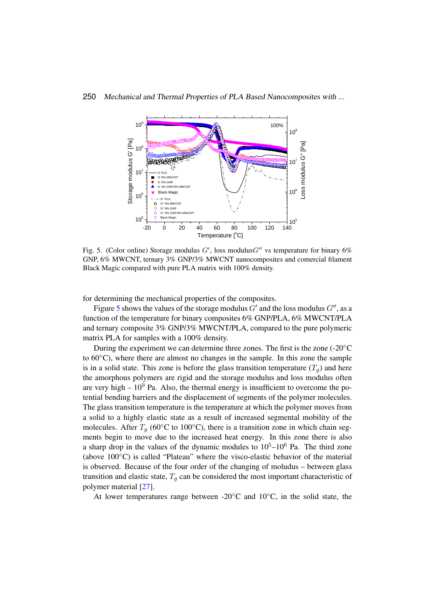

<span id="page-9-0"></span>GNP, 6% MWCNT, ternary 3% GNP/3% MWCNT nanocomposites and comercial filament Black Magic compared with pure PLA matrix with 100% density. Fig. 5. (Color online) Storage modulus  $G'$ , loss modulus $G''$  vs temperature for binary 6%

for determining the mechanical properties of the composites.

For determining the mechanical properties of the composites.<br>Figure [5](#page-9-0) shows the values of the storage modulus  $G'$  and the loss modulus  $G''$ , as a Figure 3 shows the values of the storage modulus  $G<sup>2</sup>$  and the loss modulus  $G<sup>3</sup>$ , as a function of the temperature for binary composites 6% GNP/PLA, 6% MWCNT/PLA and ternary composite 3% GNP/3% MWCNT/PLA, compared to the pure polymeric matrix PLA for samples with a 100% density.

During the experiment we can determine three zones. The first is the zone  $(-20°C)$ to 60<sup>°</sup>C), where there are almost no changes in the sample. In this zone the sample is in a solid state. This zone is before the glass transition temperature  $(T<sub>a</sub>)$  and here the amorphous polymers are rigid and the storage modulus and loss modulus often are very high  $-10^9$  Pa. Also, the thermal energy is insufficient to overcome the potential bending barriers and the displacement of segments of the polymer molecules. The glass transition temperature is the temperature at which the polymer moves from a solid to a highly elastic state as a result of increased segmental mobility of the molecules. After  $T_a$  (60°C to 100°C), there is a transition zone in which chain segments begin to move due to the increased heat energy. In this zone there is also a sharp drop in the values of the dynamic modules to  $10^5$ – $10^6$  Pa. The third zone (above  $100\degree$ C) is called "Plateau" where the visco-elastic behavior of the material is observed. Because of the four order of the changing of moludus – between glass transition and elastic state,  $T<sub>q</sub>$  can be considered the most important characteristic of polymer material [\[27\]](#page-15-11).

At lower temperatures range between -20 $^{\circ}$ C and 10 $^{\circ}$ C, in the solid state, the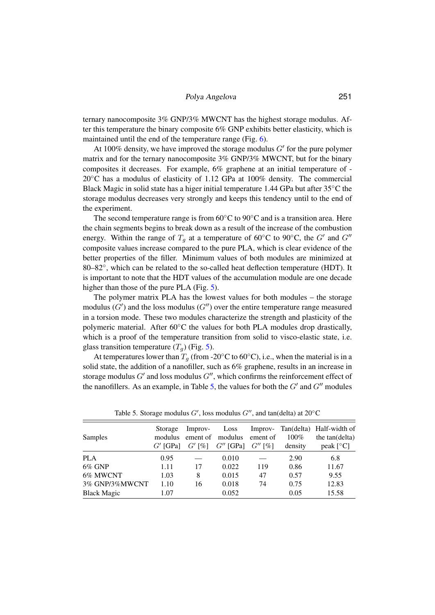ternary nanocomposite 3% GNP/3% MWCNT has the highest storage modulus. After this temperature the binary composite 6% GNP exhibits better elasticity, which is maintained until the end of the temperature range (Fig. [6\)](#page-11-0).

At 100% density, we have improved the storage modulus  $G'$  for the pure polymer matrix and for the ternary nanocomposite 3% GNP/3% MWCNT, but for the binary composites it decreases. For example, 6% graphene at an initial temperature of - 20◦C has a modulus of elasticity of 1.12 GPa at 100% density. The commercial Black Magic in solid state has a higer initial temperature 1.44 GPa but after  $35^{\circ}$ C the storage modulus decreases very strongly and keeps this tendency until to the end of the experiment.

The second temperature range is from  $60^{\circ}$ C to  $90^{\circ}$ C and is a transition area. Here the chain segments begins to break down as a result of the increase of the combustion energy. Within the range of  $T_g$  at a temperature of 60°C to 90°C, the G' and G'' composite values increase compared to the pure PLA, which is clear evidence of the better properties of the filler. Minimum values of both modules are minimized at 80–82°, which can be related to the so-called heat deflection temperature (HDT). It is important to note that the HDT values of the accumulation module are one decade higher than those of the pure PLA (Fig. [5\)](#page-9-0).

The polymer matrix PLA has the lowest values for both modules – the storage modulus  $(G')$  and the loss modulus  $(G'')$  over the entire temperature range measured in a torsion mode. These two modules characterize the strength and plasticity of the polymeric material. After 60℃ the values for both PLA modules drop drastically, which is a proof of the temperature transition from solid to visco-elastic state, i.e. glass transition temperature  $(T_q)$  (Fig. [5\)](#page-9-0).

At temperatures lower than  $T_a$  (from -20 $\degree$ C to 60 $\degree$ C), i.e., when the material is in a solid state, the addition of a nanofiller, such as 6% graphene, results in an increase in storage modulus  $G'$  and loss modulus  $G''$ , which confirms the reinforcement effect of the nanofillers. As an example, in Table [5,](#page-10-0) the values for both the  $G'$  and  $G''$  modules

|                    | Storage    | Improv-  | Loss        | Improv-   |         | Tan(delta) Half-width of |
|--------------------|------------|----------|-------------|-----------|---------|--------------------------|
| Samples            | modulus    | ement of | modulus     | ement of  | $100\%$ | the tan(delta)           |
|                    | $G'$ [GPa] | $G'$ [%] | $G''$ [GPa] | $G''$ [%] | density | peak $[^{\circ}C]$       |
| <b>PLA</b>         | 0.95       |          | 0.010       |           | 2.90    | 6.8                      |
| $6\%$ GNP          | 1.11       | 17       | 0.022       | 119       | 0.86    | 11.67                    |
| 6% MWCNT           | 1.03       | 8        | 0.015       | 47        | 0.57    | 9.55                     |
| 3% GNP/3%MWCNT     | 1.10       | 16       | 0.018       | 74        | 0.75    | 12.83                    |
| <b>Black Magic</b> | 1.07       |          | 0.052       |           | 0.05    | 15.58                    |

<span id="page-10-0"></span>Table 5. Storage modulus  $G'$ , loss modulus  $G''$ , and tan(delta) at 20°C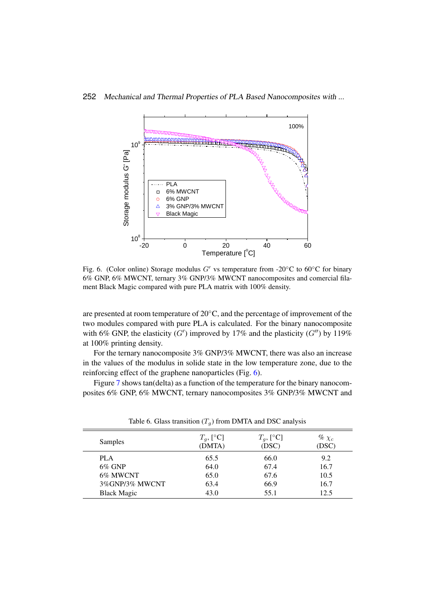

<span id="page-11-0"></span>Fig. 6. (Color binne) storage modulus G' vs temperature from -20 C to 60 C for binary 6% GNP, 6% MWCNT, ternary 3% GNP/3% MWCNT nanocomposites and comercial filament Black Magic compared with pure PLA matrix with 100% density. Fig. 6. (Color online) Storage modulus G' vs temperature from -20°C to 60°C for binary

are presented at room temperature or 20 °C, and the percentage or improvement or the<br>two modules compared with pure PLA is calculated. For the binary nanocomposite with 6% GNP, the elasticity  $(G')$  improved by 17% and the plasticity  $(G'')$  by 119% at 100% printing density. Loss Improvement Tang are presented at room temperature of  $20^{\circ}$ C, and the percentage of improvement of the

For the ternary nanocomposite 3% GNP/3% MWCNT, there was also an increase in the values of the modulus in solide state in the low temperature zone, due to the reinforcing effect of the graphene nanoparticles (Fig. [6\)](#page-11-0).

Figure [7](#page-12-0) shows tan(delta) as a function of the temperature for the binary nanocomposites 6% GNP, 6% MWCNT, ternary nanocomposites 3% GNP/3% MWCNT and

|                    | $T_q$ , [ <sup>o</sup> C] | $T_q$ , [°C] | % $\chi_c$ |
|--------------------|---------------------------|--------------|------------|
| Samples            | (DMTA)                    | (DSC)        | (DSC)      |
| <b>PLA</b>         | 65.5                      | 66.0         | 9.2        |
| $6\%$ GNP          | 64.0                      | 67.4         | 16.7       |
| 6% MWCNT           | 65.0                      | 67.6         | 10.5       |
| 3%GNP/3% MWCNT     | 63.4                      | 66.9         | 16.7       |
| <b>Black Magic</b> | 43.0                      | 55.1         | 12.5       |

<span id="page-11-1"></span>Table 6. Glass transition  $(T_q)$  from DMTA and DSC analysis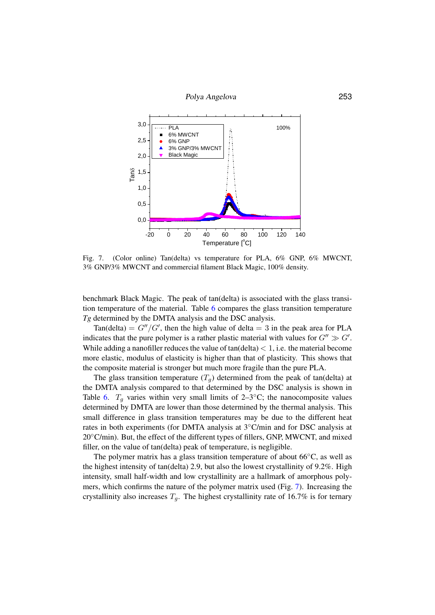



<span id="page-12-0"></span>Fig. 7. (Color of order and delta) vs temperature for FLA,  $0\%$  GNP,  $0\%$  MWCNT,  $3\%$  GNP/3% MWCNT and commercial filament Black Magic 100% density 3% MWCNT and comercial filament Black Magic, 100% density. 3% GNP/3% MWCNT and commercial filament Black Magic, 100% density. Fig. 7. (Color online) Tan(delta) vs temperature for PLA, 6% GNP, 6% MWCNT,

benchmark Black Magic. The peak of tan(delta) is associated with the glass transition temperature of the material. Table  $6$  compares the glass transition temperature  $Tg$  determined by the DMTA analysis and the DSC analysis.

 $\text{Tan}(\text{delta}) = G''/G'$ , then the high value of delta = 3 in the peak area for PLA indicates that the pure polymer is a rather plastic material with values for  $G'' \gg G'$ . While adding a nanofiller reduces the value of  $tan(detta) < 1$ , i.e. the material become indicates that the pure plastic material is stronger but much more fragile than the pure PLA. more elastic, modulus of elasticity is higher than that of plasticity. This shows that

The glass transition temperature  $(T_g)$  determined from the peak of tan(delta) at the DMTA analysis compared to that determined by the DSC analysis is shown in Table 6.  $T_g$  varies within very small limits of 2–3°C; the nanocomposite values small difference in glass transition temperatures may be due to the different heat rates in both experiments (for DMTA analysis at 3℃/min and for DSC analysis at 20°C/min). But, the effect of the different types of fillers, GNP, MWCNT, and mixed filler, on the value of tan(delta) peak of temperature, is negligible.<br>The nalysis matrix has a glass transition temperature of short  $66\degree$  as well as determined by DMTA are lower than those determined by the thermal analysis. This

the bighest intensity of tan(delta) 2.9, but also the lowest crystallinity of 9.2%. High intensity, small half-width and low crystallinity are a hallmark of amorphous polymers, which confirms the nature of the polymer matrix used (Fig. 7). Increasing the crystallinity also increases  $T_g$ . The highest crystallinity rate of 16.7% is for ternary The polymer matrix has a glass transition temperature of about  $66^{\circ}$ C, as well as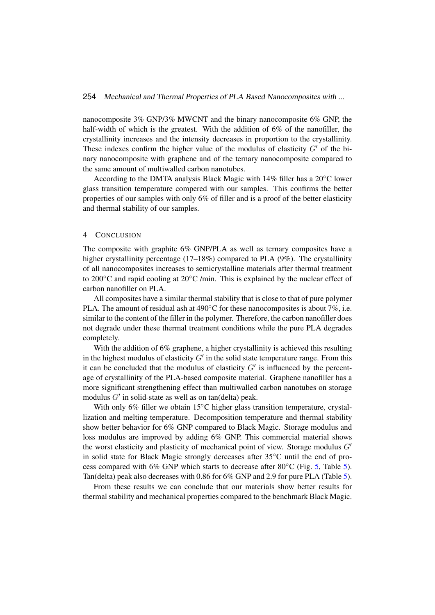nanocomposite 3% GNP/3% MWCNT and the binary nanocomposite 6% GNP, the half-width of which is the greatest. With the addition of 6% of the nanofiller, the crystallinity increases and the intensity decreases in proportion to the crystallinity. These indexes confirm the higher value of the modulus of elasticity  $G'$  of the binary nanocomposite with graphene and of the ternary nanocomposite compared to the same amount of multiwalled carbon nanotubes.

According to the DMTA analysis Black Magic with 14% filler has a 20◦C lower glass transition temperature compered with our samples. This confirms the better properties of our samples with only 6% of filler and is a proof of the better elasticity and thermal stability of our samples.

#### 4 CONCLUSION

The composite with graphite 6% GNP/PLA as well as ternary composites have a higher crystallinity percentage (17–18%) compared to PLA (9%). The crystallinity of all nanocomposites increases to semicrystalline materials after thermal treatment to 200 $\degree$ C and rapid cooling at 20 $\degree$ C /min. This is explained by the nuclear effect of carbon nanofiller on PLA.

All composites have a similar thermal stability that is close to that of pure polymer PLA. The amount of residual ash at 490 $°C$  for these nanocomposites is about 7%, i.e. similar to the content of the filler in the polymer. Therefore, the carbon nanofiller does not degrade under these thermal treatment conditions while the pure PLA degrades completely.

With the addition of 6% graphene, a higher crystallinity is achieved this resulting in the highest modulus of elasticity  $G'$  in the solid state temperature range. From this it can be concluded that the modulus of elasticity  $G'$  is influenced by the percentage of crystallinity of the PLA-based composite material. Graphene nanofiller has a more significant strengthening effect than multiwalled carbon nanotubes on storage modulus  $G'$  in solid-state as well as on tan(delta) peak.

With only 6% filler we obtain 15 $\degree$ C higher glass transition temperature, crystallization and melting temperature. Decomposition temperature and thermal stability show better behavior for 6% GNP compared to Black Magic. Storage modulus and loss modulus are improved by adding 6% GNP. This commercial material shows the worst elasticity and plasticity of mechanical point of view. Storage modulus  $G'$ in solid state for Black Magic strongly derceases after 35◦C until the end of process compared with 6% GNP which starts to decrease after 80◦C (Fig. [5,](#page-9-0) Table [5\)](#page-10-0). Tan(delta) peak also decreases with 0.86 for 6% GNP and 2.9 for pure PLA (Table [5\)](#page-10-0).

From these results we can conclude that our materials show better results for thermal stability and mechanical properties compared to the benchmark Black Magic.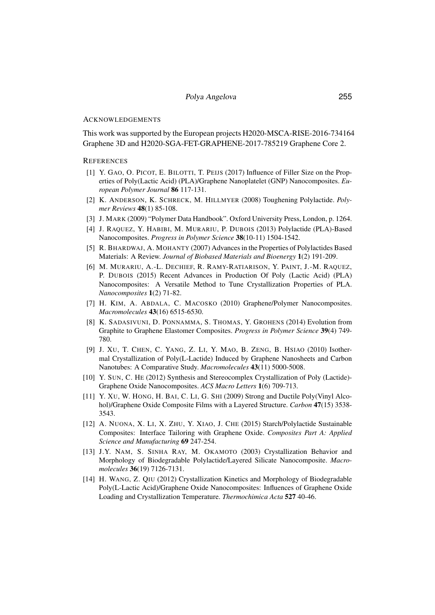#### ACKNOWLEDGEMENTS

This work was supported by the European projects H2020-MSCA-RISE-2016-734164 Graphene 3D and H2020-SGA-FET-GRAPHENE-2017-785219 Graphene Core 2.

#### **REFERENCES**

- <span id="page-14-0"></span>[1] Y. GAO, O. PICOT, E. BILOTTI, T. PEIJS (2017) Influence of Filler Size on the Properties of Poly(Lactic Acid) (PLA)/Graphene Nanoplatelet (GNP) Nanocomposites. *European Polymer Journal* 86 117-131.
- <span id="page-14-1"></span>[2] K. ANDERSON, K. SCHRECK, M. HILLMYER (2008) Toughening Polylactide. *Polymer Reviews* 48(1) 85-108.
- <span id="page-14-2"></span>[3] J. MARK (2009) "Polymer Data Handbook". Oxford University Press, London, p. 1264.
- <span id="page-14-3"></span>[4] J. RAQUEZ, Y. HABIBI, M. MURARIU, P. DUBOIS (2013) Polylactide (PLA)-Based Nanocomposites. *Progress in Polymer Science* 38(10-11) 1504-1542.
- [5] R. BHARDWAJ, A. MOHANTY (2007) Advances in the Properties of Polylactides Based Materials: A Review. *Journal of Biobased Materials and Bioenergy* 1(2) 191-209.
- <span id="page-14-4"></span>[6] M. MURARIU, A.-L. DECHIEF, R. RAMY-RATIARISON, Y. PAINT, J.-M. RAQUEZ, P. DUBOIS (2015) Recent Advances in Production Of Poly (Lactic Acid) (PLA) Nanocomposites: A Versatile Method to Tune Crystallization Properties of PLA. *Nanocomposites* 1(2) 71-82.
- <span id="page-14-5"></span>[7] H. KIM, A. ABDALA, C. MACOSKO (2010) Graphene/Polymer Nanocomposites. *Macromolecules* 43(16) 6515-6530.
- <span id="page-14-6"></span>[8] K. SADASIVUNI, D. PONNAMMA, S. THOMAS, Y. GROHENS (2014) Evolution from Graphite to Graphene Elastomer Composites. *Progress in Polymer Science* 39(4) 749- 780.
- <span id="page-14-7"></span>[9] J. XU, T. CHEN, C. YANG, Z. LI, Y. MAO, B. ZENG, B. HSIAO (2010) Isothermal Crystallization of Poly(L-Lactide) Induced by Graphene Nanosheets and Carbon Nanotubes: A Comparative Study. *Macromolecules* 43(11) 5000-5008.
- [10] Y. SUN, C. HE (2012) Synthesis and Stereocomplex Crystallization of Poly (Lactide)- Graphene Oxide Nanocomposites. *ACS Macro Letters* 1(6) 709-713.
- <span id="page-14-9"></span>[11] Y. XU, W. HONG, H. BAI, C. LI, G. SHI (2009) Strong and Ductile Poly(Vinyl Alcohol)/Graphene Oxide Composite Films with a Layered Structure. *Carbon* 47(15) 3538- 3543.
- <span id="page-14-8"></span>[12] A. NUONA, X. LI, X. ZHU, Y. XIAO, J. CHE (2015) Starch/Polylactide Sustainable Composites: Interface Tailoring with Graphene Oxide. *Composites Part A: Applied Science and Manufacturing* 69 247-254.
- <span id="page-14-10"></span>[13] J.Y. NAM, S. SINHA RAY, M. OKAMOTO (2003) Crystallization Behavior and Morphology of Biodegradable Polylactide/Layered Silicate Nanocomposite. *Macromolecules* 36(19) 7126-7131.
- <span id="page-14-11"></span>[14] H. WANG, Z. QIU (2012) Crystallization Kinetics and Morphology of Biodegradable Poly(L-Lactic Acid)/Graphene Oxide Nanocomposites: Influences of Graphene Oxide Loading and Crystallization Temperature. *Thermochimica Acta* 527 40-46.